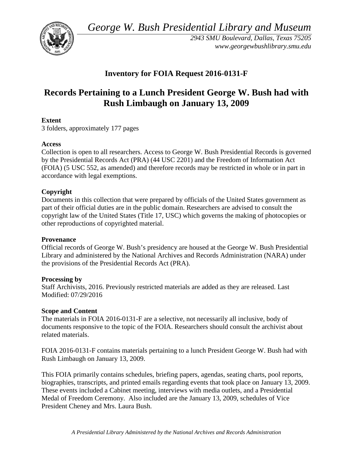*George W. Bush Presidential Library and Museum* 



 *2943 SMU Boulevard, Dallas, Texas 75205 <www.georgewbushlibrary.smu.edu>*

# **Inventory for FOIA Request 2016-0131-F**

# **Records Pertaining to a Lunch President George W. Bush had with Rush Limbaugh on January 13, 2009**

# **Extent**

3 folders, approximately 177 pages

# **Access**

 by the Presidential Records Act (PRA) (44 USC 2201) and the Freedom of Information Act Collection is open to all researchers. Access to George W. Bush Presidential Records is governed (FOIA) (5 USC 552, as amended) and therefore records may be restricted in whole or in part in accordance with legal exemptions.

# **Copyright**

 Documents in this collection that were prepared by officials of the United States government as part of their official duties are in the public domain. Researchers are advised to consult the copyright law of the United States (Title 17, USC) which governs the making of photocopies or other reproductions of copyrighted material.

#### **Provenance**

 Official records of George W. Bush's presidency are housed at the George W. Bush Presidential Library and administered by the National Archives and Records Administration (NARA) under the provisions of the Presidential Records Act (PRA).

#### **Processing by**

Staff Archivists, 2016. Previously restricted materials are added as they are released. Last Modified: 07/29/2016

#### **Scope and Content**

The materials in FOIA 2016-0131-F are a selective, not necessarily all inclusive, body of documents responsive to the topic of the FOIA. Researchers should consult the archivist about related materials.

FOIA 2016-0131-F contains materials pertaining to a lunch President George W. Bush had with Rush Limbaugh on January 13, 2009.

 President Cheney and Mrs. Laura Bush. This FOIA primarily contains schedules, briefing papers, agendas, seating charts, pool reports, biographies, transcripts, and printed emails regarding events that took place on January 13, 2009. These events included a Cabinet meeting, interviews with media outlets, and a Presidential Medal of Freedom Ceremony. Also included are the January 13, 2009, schedules of Vice